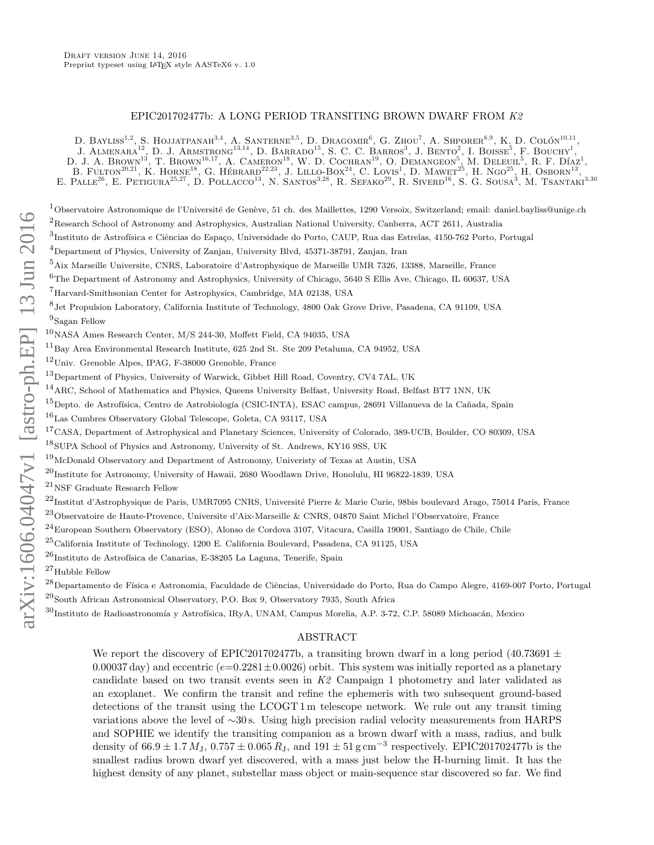#### EPIC201702477b: A LONG PERIOD TRANSITING BROWN DWARF FROM K2

<span id="page-0-0"></span>D. BAYLISS<sup>1,2</sup>, S. HOJJATPANAH<sup>3,4</sup>, A. SANTERNE<sup>3,5</sup>, D. DRAGOMIR<sup>6</sup>, G. ZHOU<sup>7</sup>, A. SHPORER<sup>8,9</sup>, K. D. COLÓN<sup>10,11</sup>, J. ALMENARA<sup>12</sup>, D. J. ARMSTRONG<sup>13,14</sup>, D. BARRADO<sup>15</sup>, S. C. C. BARROS<sup>3</sup>, J. BENTO<sup>2</sup>, I. BOISSE<sup>5</sup>, F. BOUCHY<sup>1</sup>, D. J. A. BROWN<sup>13</sup>, T. BROWN<sup>16,17</sup>, A. CAMERON<sup>18</sup>, W. D. COCHRAN<sup>19</sup>, O. DEMANGEON<sup>5</sup>, M. DELEUIL<sup>5</sup>, R. F. DÍAZ<sup>1</sup>, B. FULTON<sup>20,21</sup>, K. HORNE<sup>18</sup>, G. HÉBRARD<sup>22,23</sup>, J. LILLO-BOX<sup>24</sup>, C. LOVIS<sup>1</sup>, D. MAWET<sup>25</sup>, H. NGO<sup>25</sup>, H. OSBORN<sup>13</sup>, E. PALLE<sup>26</sup>, E. PETIGURA<sup>25,27</sup>, D. POLLACCO<sup>13</sup>, N. SANTOS<sup>3,28</sup>, R. SEFAKO<sup>29</sup>, R. SIVERD<sup>16</sup>, S. G. SOUSA<sup>3</sup>, M. TSANTAKI<sup>3,30</sup>

 $1$ Observatoire Astronomique de l'Université de Genève, 51 ch. des Maillettes, 1290 Versoix, Switzerland; email: daniel.bayliss@unige.ch

<sup>2</sup>Research School of Astronomy and Astrophysics, Australian National University, Canberra, ACT 2611, Australia

3<br>Instituto de Astrofísica e Ciências do Espaço, Universidade do Porto, CAUP, Rua das Estrelas, 4150-762 Porto, Portugal

<sup>4</sup>Department of Physics, University of Zanjan, University Blvd, 45371-38791, Zanjan, Iran

 $^5$ Aix Marseille Universite, CNRS, Laboratoire d'Astrophysique de Marseille UMR 7326, 13388, Marseille, France

 $6$ The Department of Astronomy and Astrophysics, University of Chicago, 5640 S Ellis Ave, Chicago, IL 60637, USA

<sup>7</sup>Harvard-Smithsonian Center for Astrophysics, Cambridge, MA 02138, USA

8 Jet Propulsion Laboratory, California Institute of Technology, 4800 Oak Grove Drive, Pasadena, CA 91109, USA 9 Sagan Fellow

 $10$ NASA Ames Research Center, M/S 244-30, Moffett Field, CA 94035, USA

 $^{11}$ Bay Area Environmental Research Institute, 625 2nd St. Ste 209 Petaluma, CA 94952, USA

<sup>12</sup>Univ. Grenoble Alpes, IPAG, F-38000 Grenoble, France

<sup>13</sup>Department of Physics, University of Warwick, Gibbet Hill Road, Coventry, CV4 7AL, UK

 $^{14}$ ARC, School of Mathematics and Physics, Queens University Belfast, University Road, Belfast BT7 1NN, UK

<sup>15</sup>Depto. de Astrofísica, Centro de Astrobiología (CSIC-INTA), ESAC campus, 28691 Villanueva de la Cañada, Spain

<sup>16</sup>Las Cumbres Observatory Global Telescope, Goleta, CA 93117, USA

<sup>17</sup>CASA, Department of Astrophysical and Planetary Sciences, University of Colorado, 389-UCB, Boulder, CO 80309, USA  $^{18}\rm{SUPA}$  School of Physics and Astronomy, University of St. Andrews, KY16 9SS, UK

<sup>19</sup>McDonald Observatory and Department of Astronomy, Univeristy of Texas at Austin, USA

<sup>20</sup>Institute for Astronomy, University of Hawaii, 2680 Woodlawn Drive, Honolulu, HI 96822-1839, USA

 $\rm{^{21}NSF}$  Graduate Research Fellow

 $^{22}$ Institut d'Astrophysique de Paris, UMR7095 CNRS, Université Pierre & Marie Curie, 98bis boulevard Arago, 75014 Paris, France

<sup>23</sup>Observatoire de Haute-Provence, Universite d'Aix-Marseille & CNRS, 04870 Saint Michel l'Observatoire, France

 $^{24}$ European Southern Observatory (ESO), Alonso de Cordova 3107, Vitacura, Casilla 19001, Santiago de Chile, Chile

 $^{25}$ California Institute of Technology, 1200 E. California Boulevard, Pasadena, CA 91125, USA

 $^{26}\!$ Instituto de Astrofísica de Canarias, E-38205 La Laguna, Tenerife, Spain

<sup>27</sup>Hubble Fellow

 $^{28}$ Departamento de Física e Astronomia, Faculdade de Ciências, Universidade do Porto, Rua do Campo Alegre, 4169-007 Porto, Portugal <sup>29</sup>South African Astronomical Observatory, P.O. Box 9, Observatory 7935, South Africa

 $^{30}$ Instituto de Radioastronomía y Astrofísica, IRyA, UNAM, Campus Morelia, A.P. 3-72, C.P. 58089 Michoacán, Mexico

# ABSTRACT

We report the discovery of EPIC201702477b, a transiting brown dwarf in a long period (40.73691  $\pm$ 0.00037 day) and eccentric ( $e=0.2281\pm0.0026$ ) orbit. This system was initially reported as a planetary candidate based on two transit events seen in K2 Campaign 1 photometry and later validated as an exoplanet. We confirm the transit and refine the ephemeris with two subsequent ground-based detections of the transit using the LCOGT 1 m telescope network. We rule out any transit timing variations above the level of ∼30 s. Using high precision radial velocity measurements from HARPS and SOPHIE we identify the transiting companion as a brown dwarf with a mass, radius, and bulk density of  $66.9 \pm 1.7 M_{\rm J}$ ,  $0.757 \pm 0.065 R_{\rm J}$ , and  $191 \pm 51 \,\rm g\,cm^{-3}$  respectively. EPIC201702477b is the smallest radius brown dwarf yet discovered, with a mass just below the H-burning limit. It has the highest density of any planet, substellar mass object or main-sequence star discovered so far. We find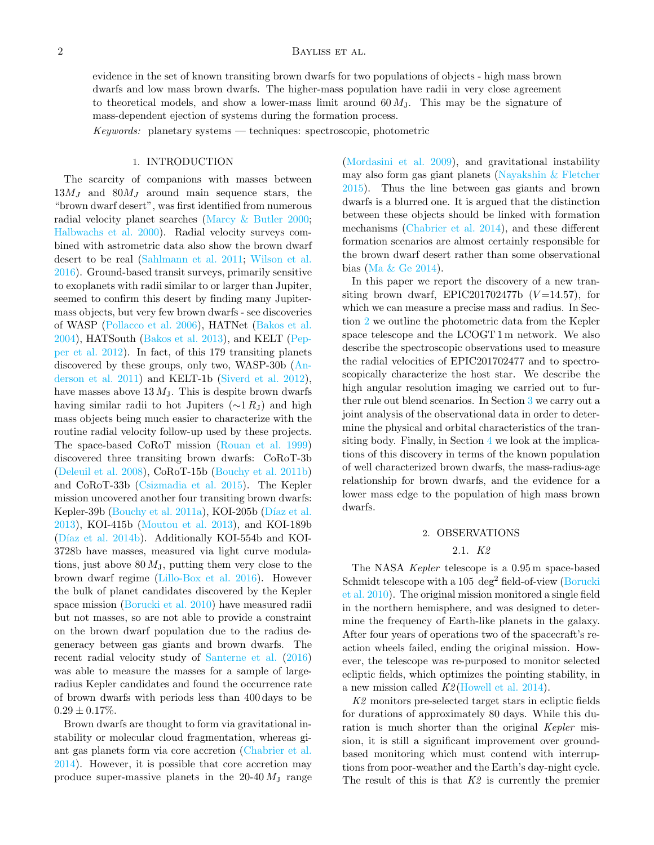# 2 **BAYLISS ET AL.**

evidence in the set of known transiting brown dwarfs for two populations of objects - high mass brown dwarfs and low mass brown dwarfs. The higher-mass population have radii in very close agreement to theoretical models, and show a lower-mass limit around  $60 M<sub>J</sub>$ . This may be the signature of mass-dependent ejection of systems during the formation process.

 $Keywords:$  planetary systems — techniques: spectroscopic, photometric

### 1. INTRODUCTION

The scarcity of companions with masses between  $13M_J$  and  $80M_J$  around main sequence stars, the "brown dwarf desert", was first identified from numerous radial velocity planet searches [\(Marcy & Butler](#page-12-0) [2000;](#page-12-0) [Halbwachs et al.](#page-12-1) [2000\)](#page-12-1). Radial velocity surveys combined with astrometric data also show the brown dwarf desert to be real [\(Sahlmann et al.](#page-12-2) [2011;](#page-12-2) [Wilson et al.](#page-12-3) [2016\)](#page-12-3). Ground-based transit surveys, primarily sensitive to exoplanets with radii similar to or larger than Jupiter, seemed to confirm this desert by finding many Jupitermass objects, but very few brown dwarfs - see discoveries of WASP [\(Pollacco et al.](#page-12-4) [2006\)](#page-12-4), HATNet [\(Bakos et al.](#page-12-5) [2004\)](#page-12-5), HATSouth [\(Bakos et al.](#page-12-6) [2013\)](#page-12-6), and KELT [\(Pep](#page-12-7)[per et al.](#page-12-7) [2012\)](#page-12-7). In fact, of this 179 transiting planets discovered by these groups, only two, WASP-30b [\(An](#page-12-8)[derson et al.](#page-12-8) [2011\)](#page-12-8) and KELT-1b [\(Siverd et al.](#page-12-9) [2012\)](#page-12-9), have masses above 13  $M<sub>J</sub>$ . This is despite brown dwarfs having similar radii to hot Jupiters ( $\sim$ 1 RJ) and high mass objects being much easier to characterize with the routine radial velocity follow-up used by these projects. The space-based CoRoT mission [\(Rouan et al.](#page-12-10) [1999\)](#page-12-10) discovered three transiting brown dwarfs: CoRoT-3b [\(Deleuil et al.](#page-12-11) [2008\)](#page-12-11), CoRoT-15b [\(Bouchy et al.](#page-12-12) [2011b\)](#page-12-12) and CoRoT-33b [\(Csizmadia et al.](#page-12-13) [2015\)](#page-12-13). The Kepler mission uncovered another four transiting brown dwarfs: Kepler-39b [\(Bouchy et al.](#page-12-14) [2011a\)](#page-12-14), KOI-205b (Díaz et al. [2013\)](#page-12-15), KOI-415b [\(Moutou et al.](#page-12-16) [2013\)](#page-12-16), and KOI-189b (Díaz et al. [2014b\)](#page-12-17). Additionally KOI-554b and KOI-3728b have masses, measured via light curve modulations, just above  $80 M_{\rm J}$ , putting them very close to the brown dwarf regime [\(Lillo-Box et al.](#page-12-18) [2016\)](#page-12-18). However the bulk of planet candidates discovered by the Kepler space mission [\(Borucki et al.](#page-12-19) [2010\)](#page-12-19) have measured radii but not masses, so are not able to provide a constraint on the brown dwarf population due to the radius degeneracy between gas giants and brown dwarfs. The recent radial velocity study of [Santerne et al.](#page-12-20) [\(2016\)](#page-12-20) was able to measure the masses for a sample of largeradius Kepler candidates and found the occurrence rate of brown dwarfs with periods less than 400 days to be  $0.29 \pm 0.17\%$ .

Brown dwarfs are thought to form via gravitational instability or molecular cloud fragmentation, whereas giant gas planets form via core accretion [\(Chabrier et al.](#page-12-21) [2014\)](#page-12-21). However, it is possible that core accretion may produce super-massive planets in the  $20-40 M_J$  range [\(Mordasini et al.](#page-12-22) [2009\)](#page-12-22), and gravitational instability may also form gas giant planets [\(Nayakshin & Fletcher](#page-12-23) [2015\)](#page-12-23). Thus the line between gas giants and brown dwarfs is a blurred one. It is argued that the distinction between these objects should be linked with formation mechanisms [\(Chabrier et al.](#page-12-21) [2014\)](#page-12-21), and these different formation scenarios are almost certainly responsible for the brown dwarf desert rather than some observational bias [\(Ma & Ge](#page-12-24) [2014\)](#page-12-24).

In this paper we report the discovery of a new transiting brown dwarf, EPIC201702477b  $(V=14.57)$ , for which we can measure a precise mass and radius. In Section [2](#page-1-0) we outline the photometric data from the Kepler space telescope and the LCOGT 1 m network. We also describe the spectroscopic observations used to measure the radial velocities of EPIC201702477 and to spectroscopically characterize the host star. We describe the high angular resolution imaging we carried out to further rule out blend scenarios. In Section [3](#page-6-0) we carry out a joint analysis of the observational data in order to determine the physical and orbital characteristics of the transiting body. Finally, in Section [4](#page-8-0) we look at the implications of this discovery in terms of the known population of well characterized brown dwarfs, the mass-radius-age relationship for brown dwarfs, and the evidence for a lower mass edge to the population of high mass brown dwarfs.

## 2. OBSERVATIONS

# 2.1. K2

<span id="page-1-0"></span>The NASA Kepler telescope is a 0.95 m space-based Schmidt telescope with a 105 deg<sup>2</sup> field-of-view [\(Borucki](#page-12-19) [et al.](#page-12-19) [2010\)](#page-12-19). The original mission monitored a single field in the northern hemisphere, and was designed to determine the frequency of Earth-like planets in the galaxy. After four years of operations two of the spacecraft's reaction wheels failed, ending the original mission. However, the telescope was re-purposed to monitor selected ecliptic fields, which optimizes the pointing stability, in a new mission called  $K2$ [\(Howell et al.](#page-12-25) [2014\)](#page-12-25).

K2 monitors pre-selected target stars in ecliptic fields for durations of approximately 80 days. While this duration is much shorter than the original Kepler mission, it is still a significant improvement over groundbased monitoring which must contend with interruptions from poor-weather and the Earth's day-night cycle. The result of this is that  $K2$  is currently the premier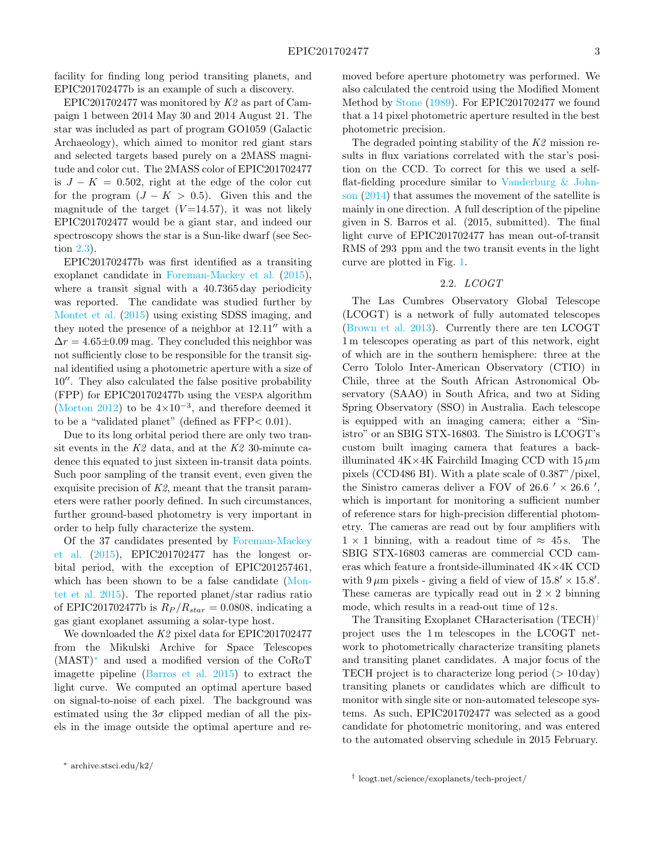facility for finding long period transiting planets, and EPIC201702477b is an example of such a discovery.

EPIC201702477 was monitored by  $K2$  as part of Campaign 1 between 2014 May 30 and 2014 August 21. The star was included as part of program GO1059 (Galactic Archaeology), which aimed to monitor red giant stars and selected targets based purely on a 2MASS magnitude and color cut. The 2MASS color of EPIC201702477 is  $J - K = 0.502$ , right at the edge of the color cut for the program  $(J - K > 0.5)$ . Given this and the magnitude of the target  $(V=14.57)$ , it was not likely EPIC201702477 would be a giant star, and indeed our spectroscopy shows the star is a Sun-like dwarf (see Section [2.3\)](#page-3-0).

EPIC201702477b was first identified as a transiting exoplanet candidate in [Foreman-Mackey et al.](#page-12-26) [\(2015\)](#page-12-26), where a transit signal with a 40.7365 day periodicity was reported. The candidate was studied further by [Montet et al.](#page-12-27) [\(2015\)](#page-12-27) using existing SDSS imaging, and they noted the presence of a neighbor at  $12.11''$  with a  $\Delta r = 4.65 \pm 0.09$  mag. They concluded this neighbor was not sufficiently close to be responsible for the transit signal identified using a photometric aperture with a size of  $10^{\prime\prime}$ . They also calculated the false positive probability (FPP) for EPIC201702477b using the vespa algorithm [\(Morton](#page-12-28) [2012\)](#page-12-28) to be  $4\times10^{-3}$ , and therefore deemed it to be a "validated planet" (defined as FFP< 0.01).

Due to its long orbital period there are only two transit events in the  $K2$  data, and at the  $K2$  30-minute cadence this equated to just sixteen in-transit data points. Such poor sampling of the transit event, even given the exquisite precision of K2, meant that the transit parameters were rather poorly defined. In such circumstances, further ground-based photometry is very important in order to help fully characterize the system.

Of the 37 candidates presented by [Foreman-Mackey](#page-12-26) [et al.](#page-12-26) [\(2015\)](#page-12-26), EPIC201702477 has the longest orbital period, with the exception of EPIC201257461, which has been shown to be a false candidate [\(Mon](#page-12-27)[tet et al.](#page-12-27) [2015\)](#page-12-27). The reported planet/star radius ratio of EPIC201702477b is  $R_P/R_{star} = 0.0808$ , indicating a gas giant exoplanet assuming a solar-type host.

We downloaded the K2 pixel data for EPIC201702477 from the Mikulski Archive for Space Telescopes (MAST)[∗](#page-0-0) and used a modified version of the CoRoT imagette pipeline [\(Barros et al.](#page-12-29) [2015\)](#page-12-29) to extract the light curve. We computed an optimal aperture based on signal-to-noise of each pixel. The background was estimated using the  $3\sigma$  clipped median of all the pixels in the image outside the optimal aperture and re-

The degraded pointing stability of the K2 mission results in flux variations correlated with the star's position on the CCD. To correct for this we used a selfflat-fielding procedure similar to [Vanderburg & John](#page-12-31)[son](#page-12-31) [\(2014\)](#page-12-31) that assumes the movement of the satellite is mainly in one direction. A full description of the pipeline given in S. Barros et al. (2015, submitted). The final light curve of EPIC201702477 has mean out-of-transit RMS of 293 ppm and the two transit events in the light curve are plotted in Fig. [1.](#page-3-1)

#### 2.2. LCOGT

The Las Cumbres Observatory Global Telescope (LCOGT) is a network of fully automated telescopes [\(Brown et al.](#page-12-32) [2013\)](#page-12-32). Currently there are ten LCOGT 1 m telescopes operating as part of this network, eight of which are in the southern hemisphere: three at the Cerro Tololo Inter-American Observatory (CTIO) in Chile, three at the South African Astronomical Observatory (SAAO) in South Africa, and two at Siding Spring Observatory (SSO) in Australia. Each telescope is equipped with an imaging camera; either a "Sinistro" or an SBIG STX-16803. The Sinistro is LCOGT's custom built imaging camera that features a backilluminated  $4K \times 4K$  Fairchild Imaging CCD with  $15 \mu m$ pixels (CCD486 BI). With a plate scale of 0.387"/pixel, the Sinistro cameras deliver a FOV of  $26.6' \times 26.6'$ , which is important for monitoring a sufficient number of reference stars for high-precision differential photometry. The cameras are read out by four amplifiers with  $1 \times 1$  binning, with a readout time of  $\approx 45$  s. The SBIG STX-16803 cameras are commercial CCD cameras which feature a frontside-illuminated 4K×4K CCD with 9  $\mu$ m pixels - giving a field of view of  $15.8' \times 15.8'$ . These cameras are typically read out in  $2 \times 2$  binning mode, which results in a read-out time of 12 s.

The Transiting Exoplanet CHaracterisation (TECH)[†](#page-0-0) project uses the 1 m telescopes in the LCOGT network to photometrically characterize transiting planets and transiting planet candidates. A major focus of the TECH project is to characterize long period  $(>10 \,\text{day})$ transiting planets or candidates which are difficult to monitor with single site or non-automated telescope systems. As such, EPIC201702477 was selected as a good candidate for photometric monitoring, and was entered to the automated observing schedule in 2015 February.

moved before aperture photometry was performed. We also calculated the centroid using the Modified Moment Method by [Stone](#page-12-30) [\(1989\)](#page-12-30). For EPIC201702477 we found that a 14 pixel photometric aperture resulted in the best photometric precision.

<sup>∗</sup> archive.stsci.edu/k2/

<sup>†</sup> lcogt.net/science/exoplanets/tech-project/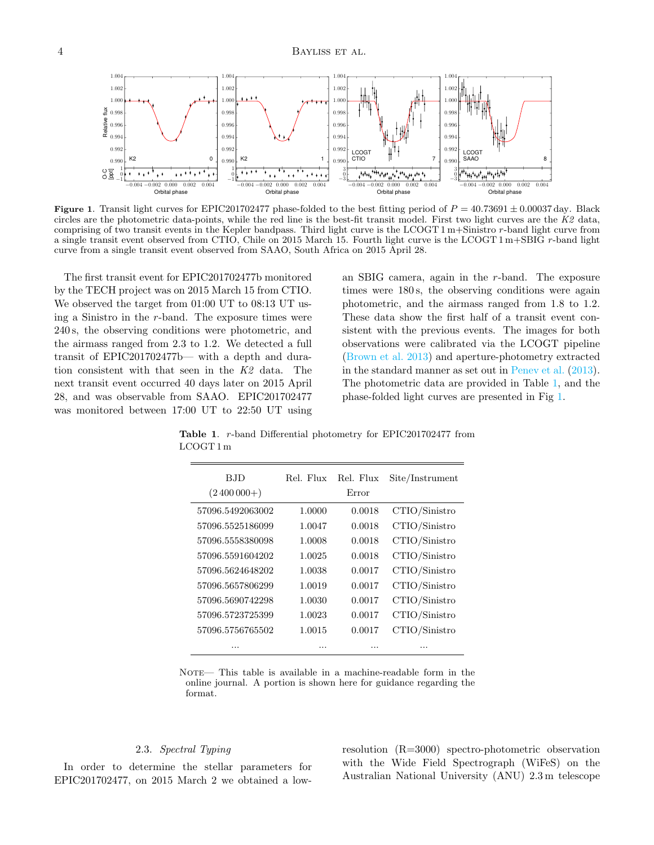

<span id="page-3-1"></span>Figure 1. Transit light curves for EPIC201702477 phase-folded to the best fitting period of  $P = 40.73691 \pm 0.00037$  day. Black circles are the photometric data-points, while the red line is the best-fit transit model. First two light curves are the K2 data, comprising of two transit events in the Kepler bandpass. Third light curve is the LCOGT 1 m+Sinistro r-band light curve from a single transit event observed from CTIO, Chile on 2015 March 15. Fourth light curve is the LCOGT 1 m+SBIG r-band light curve from a single transit event observed from SAAO, South Africa on 2015 April 28.

The first transit event for EPIC201702477b monitored by the TECH project was on 2015 March 15 from CTIO. We observed the target from 01:00 UT to 08:13 UT using a Sinistro in the  $r$ -band. The exposure times were 240 s, the observing conditions were photometric, and the airmass ranged from 2.3 to 1.2. We detected a full transit of EPIC201702477b— with a depth and duration consistent with that seen in the K2 data. The next transit event occurred 40 days later on 2015 April 28, and was observable from SAAO. EPIC201702477 was monitored between 17:00 UT to 22:50 UT using

an SBIG camera, again in the r-band. The exposure times were  $180 s$ , the observing conditions were again photometric, and the airmass ranged from 1.8 to 1.2. These data show the first half of a transit event consistent with the previous events. The images for both observations were calibrated via the LCOGT pipeline [\(Brown et al.](#page-12-32) [2013\)](#page-12-32) and aperture-photometry extracted in the standard manner as set out in [Penev et al.](#page-12-33) [\(2013\)](#page-12-33). The photometric data are provided in Table [1,](#page-3-2) and the phase-folded light curves are presented in Fig [1.](#page-3-1)

<span id="page-3-2"></span>Table 1. r-band Differential photometry for EPIC201702477 from LCOGT 1 m

| B.ID<br>$(2400000+)$ | Rel. Flux | Rel. Flux<br>Error | Site/Instrument |
|----------------------|-----------|--------------------|-----------------|
| 57096.5492063002     | 1.0000    | 0.0018             | CTIO/Sinistro   |
| 57096.5525186099     | 1.0047    | 0.0018             | CTIO/Sinistro   |
| 57096.5558380098     | 1.0008    | 0.0018             | CTIO/Sinistro   |
| 57096.5591604202     | 1.0025    | 0.0018             | CTIO/Sinistro   |
| 57096.5624648202     | 1.0038    | 0.0017             | CTIO/Sinistro   |
| 57096.5657806299     | 1.0019    | 0.0017             | CTIO/Sinistro   |
| 57096.5690742298     | 1.0030    | 0.0017             | CTIO/Sinistro   |
| 57096.5723725399     | 1.0023    | 0.0017             | CTIO/Sinistro   |
| 57096.5756765502     | 1.0015    | 0.0017             | CTIO/Sinistro   |
|                      |           |                    |                 |

NOTE— This table is available in a machine-readable form in the online journal. A portion is shown here for guidance regarding the format.

## 2.3. Spectral Typing

<span id="page-3-0"></span>In order to determine the stellar parameters for EPIC201702477, on 2015 March 2 we obtained a lowresolution (R=3000) spectro-photometric observation with the Wide Field Spectrograph (WiFeS) on the Australian National University (ANU) 2.3 m telescope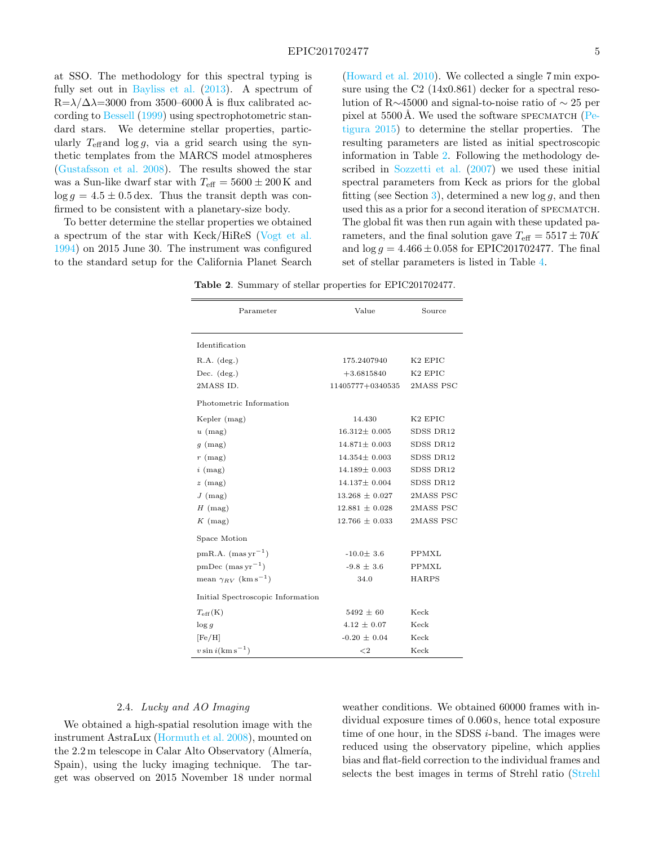at SSO. The methodology for this spectral typing is fully set out in [Bayliss et al.](#page-12-34) [\(2013\)](#page-12-34). A spectrum of  $R=\lambda/\Delta\lambda=3000$  from 3500–6000 Å is flux calibrated according to [Bessell](#page-12-35) [\(1999\)](#page-12-35) using spectrophotometric standard stars. We determine stellar properties, particularly  $T_{\text{eff}}$  and  $\log g$ , via a grid search using the synthetic templates from the MARCS model atmospheres [\(Gustafsson et al.](#page-12-36) [2008\)](#page-12-36). The results showed the star was a Sun-like dwarf star with  $T_{\text{eff}} = 5600 \pm 200 \,\text{K}$  and  $\log g = 4.5 \pm 0.5$  dex. Thus the transit depth was confirmed to be consistent with a planetary-size body.

<span id="page-4-0"></span>To better determine the stellar properties we obtained a spectrum of the star with Keck/HiReS [\(Vogt et al.](#page-12-37) [1994\)](#page-12-37) on 2015 June 30. The instrument was configured to the standard setup for the California Planet Search [\(Howard et al.](#page-12-38) [2010\)](#page-12-38). We collected a single 7 min exposure using the C2 (14x0.861) decker for a spectral resolution of R∼45000 and signal-to-noise ratio of ∼ 25 per pixel at  $5500 \text{ Å}$ . We used the software SPECMATCH [\(Pe](#page-12-39)[tigura](#page-12-39) [2015\)](#page-12-39) to determine the stellar properties. The resulting parameters are listed as initial spectroscopic information in Table [2.](#page-4-0) Following the methodology described in [Sozzetti et al.](#page-12-40) [\(2007\)](#page-12-40) we used these initial spectral parameters from Keck as priors for the global fitting (see Section [3\)](#page-6-0), determined a new  $log q$ , and then used this as a prior for a second iteration of SPECMATCH. The global fit was then run again with these updated parameters, and the final solution gave  $T_{\text{eff}} = 5517 \pm 70K$ and  $\log g = 4.466 \pm 0.058$  for EPIC201702477. The final set of stellar parameters is listed in Table [4.](#page-7-0)

Table 2. Summary of stellar properties for EPIC201702477.

| Parameter                                | Value              | Source              |
|------------------------------------------|--------------------|---------------------|
| Identification                           |                    |                     |
| $R.A.$ (deg.)                            | 175.2407940        | K <sub>2</sub> EPIC |
| Dec. $(\text{deg.})$                     | $+3.6815840$       | K <sub>2</sub> EPIC |
| 2MASS ID.                                | 11405777+0340535   | 2MASS PSC           |
| Photometric Information                  |                    |                     |
| Kepler (mag)                             | 14.430             | K <sub>2</sub> EPIC |
| $u \pmod{m}$                             | $16.312 \pm 0.005$ | SDSS DR12           |
| $g$ (mag)                                | $14.871 \pm 0.003$ | SDSS DR12           |
| $r \text{ (mag)}$                        | $14.354 \pm 0.003$ | SDSS DR12           |
| $i \pmod{m}$                             | $14.189 \pm 0.003$ | SDSS DR12           |
| $z \; (\text{mag})$                      | $14.137 \pm 0.004$ | SDSS DR12           |
| $J \; (mag)$                             | $13.268 \pm 0.027$ | 2MASS PSC           |
| $H \; (mag)$                             | $12.881 \pm 0.028$ | 2MASS PSC           |
| $K \; (mag)$                             | $12.766 \pm 0.033$ | 2MASS PSC           |
| Space Motion                             |                    |                     |
| $pm R.A.$ (mas $yr^{-1}$ )               | $-10.0 \pm 3.6$    | PPMXL               |
| $pmDec~(\text{mas yr}^{-1})$             | $-9.8 \pm 3.6$     | <b>PPMXL</b>        |
| mean $\gamma_{RV}$ (km s <sup>-1</sup> ) | 34.0               | <b>HARPS</b>        |
| Initial Spectroscopic Information        |                    |                     |
| $T_{\rm eff}(\rm K)$                     | $5492 \pm 60$      | Keck                |
| $\log g$                                 | $4.12 \pm 0.07$    | Keck                |
| [Fe/H]                                   | $-0.20 \pm 0.04$   | Keck                |
| $v \sin i (\text{km s}^{-1})$            | ${<}2$             | Keck                |

## 2.4. Lucky and AO Imaging

We obtained a high-spatial resolution image with the instrument AstraLux [\(Hormuth et al.](#page-12-41) [2008\)](#page-12-41), mounted on the  $2.2 \text{ m}$  telescope in Calar Alto Observatory (Almería, Spain), using the lucky imaging technique. The target was observed on 2015 November 18 under normal weather conditions. We obtained 60000 frames with individual exposure times of 0.060 s, hence total exposure time of one hour, in the SDSS  $i$ -band. The images were reduced using the observatory pipeline, which applies bias and flat-field correction to the individual frames and selects the best images in terms of Strehl ratio [\(Strehl](#page-12-42)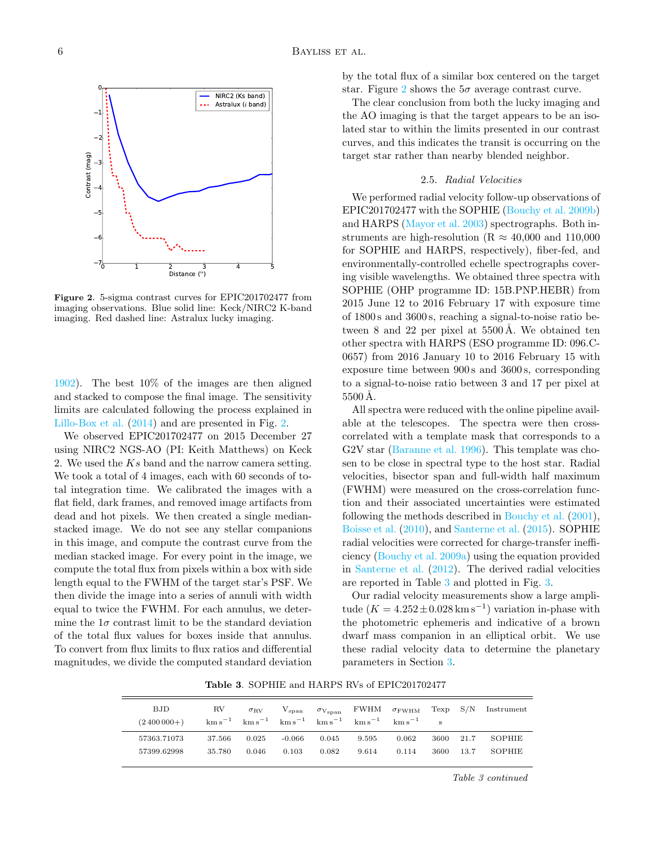

<span id="page-5-0"></span>Figure 2. 5-sigma contrast curves for EPIC201702477 from imaging observations. Blue solid line: Keck/NIRC2 K-band imaging. Red dashed line: Astralux lucky imaging.

[1902\)](#page-12-42). The best 10% of the images are then aligned and stacked to compose the final image. The sensitivity limits are calculated following the process explained in [Lillo-Box et al.](#page-12-43) [\(2014\)](#page-12-43) and are presented in Fig. [2.](#page-5-0)

We observed EPIC201702477 on 2015 December 27 using NIRC2 NGS-AO (PI: Keith Matthews) on Keck 2. We used the  $Ks$  band and the narrow camera setting. We took a total of 4 images, each with 60 seconds of total integration time. We calibrated the images with a flat field, dark frames, and removed image artifacts from dead and hot pixels. We then created a single medianstacked image. We do not see any stellar companions in this image, and compute the contrast curve from the median stacked image. For every point in the image, we compute the total flux from pixels within a box with side length equal to the FWHM of the target star's PSF. We then divide the image into a series of annuli with width equal to twice the FWHM. For each annulus, we determine the  $1\sigma$  contrast limit to be the standard deviation of the total flux values for boxes inside that annulus. To convert from flux limits to flux ratios and differential magnitudes, we divide the computed standard deviation

by the total flux of a similar box centered on the target star. Figure [2](#page-5-0) shows the  $5\sigma$  average contrast curve.

The clear conclusion from both the lucky imaging and the AO imaging is that the target appears to be an isolated star to within the limits presented in our contrast curves, and this indicates the transit is occurring on the target star rather than nearby blended neighbor.

#### 2.5. Radial Velocities

We performed radial velocity follow-up observations of EPIC201702477 with the SOPHIE [\(Bouchy et al.](#page-12-44) [2009b\)](#page-12-44) and HARPS [\(Mayor et al.](#page-12-45) [2003\)](#page-12-45) spectrographs. Both instruments are high-resolution (R  $\approx$  40,000 and 110,000 for SOPHIE and HARPS, respectively), fiber-fed, and environmentally-controlled echelle spectrographs covering visible wavelengths. We obtained three spectra with SOPHIE (OHP programme ID: 15B.PNP.HEBR) from 2015 June 12 to 2016 February 17 with exposure time of 1800 s and 3600 s, reaching a signal-to-noise ratio between 8 and 22 per pixel at  $5500 \text{\AA}$ . We obtained ten other spectra with HARPS (ESO programme ID: 096.C-0657) from 2016 January 10 to 2016 February 15 with exposure time between 900 s and 3600 s, corresponding to a signal-to-noise ratio between 3 and 17 per pixel at  $5500 \,\mathrm{A}$ .

All spectra were reduced with the online pipeline available at the telescopes. The spectra were then crosscorrelated with a template mask that corresponds to a G2V star [\(Baranne et al.](#page-12-46) [1996\)](#page-12-46). This template was chosen to be close in spectral type to the host star. Radial velocities, bisector span and full-width half maximum (FWHM) were measured on the cross-correlation function and their associated uncertainties were estimated following the methods described in [Bouchy et al.](#page-12-47) [\(2001\)](#page-12-47), [Boisse et al.](#page-12-48) [\(2010\)](#page-12-48), and [Santerne et al.](#page-12-49) [\(2015\)](#page-12-49). SOPHIE radial velocities were corrected for charge-transfer inefficiency [\(Bouchy et al.](#page-12-50) [2009a\)](#page-12-50) using the equation provided in [Santerne et al.](#page-12-51) [\(2012\)](#page-12-51). The derived radial velocities are reported in Table [3](#page-5-1) and plotted in Fig. [3.](#page-6-1)

Our radial velocity measurements show a large amplitude  $(K = 4.252 \pm 0.028 \,\mathrm{km \, s^{-1}})$  variation in-phase with the photometric ephemeris and indicative of a brown dwarf mass companion in an elliptical orbit. We use these radial velocity data to determine the planetary parameters in Section [3.](#page-6-0)

Table 3. SOPHIE and HARPS RVs of EPIC201702477

<span id="page-5-1"></span>

| <b>BJD</b><br>$(2400000+)$ | RV     | $\sigma_{\rm RV}$ | $V_{\rm span}$ | $\mathrm{km \, s}^{-1}$ $\mathrm{km \, s}^{-1}$ $\mathrm{km \, s}^{-1}$ $\mathrm{km \, s}^{-1}$ $\mathrm{km \, s}^{-1}$ | $\sigma_{\rm V_{\rm span}}$ FWHM $\sigma_{\rm FWHM}$ Texp S/N | $km s^{-1}$ |      |      | $I$ nstrument |
|----------------------------|--------|-------------------|----------------|-------------------------------------------------------------------------------------------------------------------------|---------------------------------------------------------------|-------------|------|------|---------------|
| 57363.71073                | 37.566 | 0.025             | $-0.066$       | 0.045                                                                                                                   | 9.595                                                         | 0.062       | 3600 | 21.7 | SOPHIE        |
| 57399.62998                | 35.780 | 0.046             | 0.103          | 0.082                                                                                                                   | 9.614                                                         | 0.114       | 3600 | 13.7 | <b>SOPHIE</b> |
|                            |        |                   |                |                                                                                                                         |                                                               |             |      |      |               |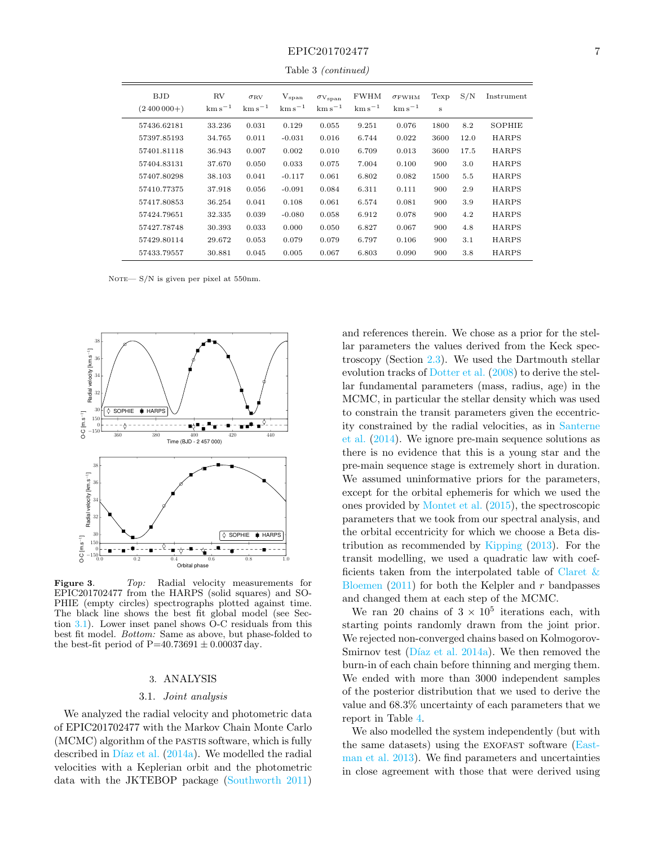Table 3 (continued)

| <b>BJD</b><br>$(2\,400\,000+)$ | $\rm RV$<br>$\mathrm{km\,s}^{-1}$ | $\sigma_{\rm RV}$<br>$\mathrm{km\,s}^{-1}$ | $V_{\rm span}$<br>$\mathrm{km\,s}^{-1}$ | $\sigma_{\rm Vspan}$<br>$km s^{-1}$ | <b>FWHM</b><br>$\mathrm{km\,s}^{-1}$ | $\sigma$ FWHM<br>$\mathrm{km\,s}^{-1}$ | Texp<br>S | S/N  | Instrument    |
|--------------------------------|-----------------------------------|--------------------------------------------|-----------------------------------------|-------------------------------------|--------------------------------------|----------------------------------------|-----------|------|---------------|
|                                |                                   |                                            |                                         |                                     |                                      |                                        |           |      |               |
| 57436.62181                    | 33.236                            | 0.031                                      | 0.129                                   | 0.055                               | 9.251                                | 0.076                                  | 1800      | 8.2  | <b>SOPHIE</b> |
| 57397.85193                    | 34.765                            | 0.011                                      | $-0.031$                                | 0.016                               | 6.744                                | 0.022                                  | 3600      | 12.0 | <b>HARPS</b>  |
| 57401.81118                    | 36.943                            | 0.007                                      | 0.002                                   | 0.010                               | 6.709                                | 0.013                                  | 3600      | 17.5 | <b>HARPS</b>  |
| 57404.83131                    | 37.670                            | 0.050                                      | 0.033                                   | 0.075                               | 7.004                                | 0.100                                  | 900       | 3.0  | <b>HARPS</b>  |
| 57407.80298                    | 38.103                            | 0.041                                      | $-0.117$                                | 0.061                               | 6.802                                | 0.082                                  | 1500      | 5.5  | <b>HARPS</b>  |
| 57410.77375                    | 37.918                            | 0.056                                      | $-0.091$                                | 0.084                               | 6.311                                | 0.111                                  | 900       | 2.9  | <b>HARPS</b>  |
| 57417.80853                    | 36.254                            | 0.041                                      | 0.108                                   | 0.061                               | 6.574                                | 0.081                                  | 900       | 3.9  | <b>HARPS</b>  |
| 57424.79651                    | 32.335                            | 0.039                                      | $-0.080$                                | 0.058                               | 6.912                                | 0.078                                  | 900       | 4.2  | <b>HARPS</b>  |
| 57427.78748                    | 30.393                            | 0.033                                      | 0.000                                   | 0.050                               | 6.827                                | 0.067                                  | 900       | 4.8  | <b>HARPS</b>  |
| 57429.80114                    | 29.672                            | 0.053                                      | 0.079                                   | 0.079                               | 6.797                                | 0.106                                  | 900       | 3.1  | <b>HARPS</b>  |
| 57433.79557                    | 30.881                            | 0.045                                      | 0.005                                   | 0.067                               | 6.803                                | 0.090                                  | 900       | 3.8  | <b>HARPS</b>  |

NOTE—  $S/N$  is given per pixel at 550nm.



<span id="page-6-1"></span>Figure 3. Top: Radial velocity measurements for EPIC201702477 from the HARPS (solid squares) and SO-PHIE (empty circles) spectrographs plotted against time. The black line shows the best fit global model (see Section [3.1\)](#page-6-2). Lower inset panel shows O-C residuals from this best fit model. Bottom: Same as above, but phase-folded to the best-fit period of  $P=40.73691 \pm 0.00037$  day.

#### 3. ANALYSIS

#### 3.1. Joint analysis

<span id="page-6-2"></span><span id="page-6-0"></span>We analyzed the radial velocity and photometric data of EPIC201702477 with the Markov Chain Monte Carlo (MCMC) algorithm of the pastis software, which is fully described in Díaz et al.  $(2014a)$ . We modelled the radial velocities with a Keplerian orbit and the photometric data with the JKTEBOP package [\(Southworth](#page-12-53) [2011\)](#page-12-53)

and references therein. We chose as a prior for the stellar parameters the values derived from the Keck spectroscopy (Section [2.3\)](#page-3-0). We used the Dartmouth stellar evolution tracks of [Dotter et al.](#page-12-54) [\(2008\)](#page-12-54) to derive the stellar fundamental parameters (mass, radius, age) in the MCMC, in particular the stellar density which was used to constrain the transit parameters given the eccentricity constrained by the radial velocities, as in [Santerne](#page-12-55) [et al.](#page-12-55) [\(2014\)](#page-12-55). We ignore pre-main sequence solutions as there is no evidence that this is a young star and the pre-main sequence stage is extremely short in duration. We assumed uninformative priors for the parameters, except for the orbital ephemeris for which we used the ones provided by [Montet et al.](#page-12-27) [\(2015\)](#page-12-27), the spectroscopic parameters that we took from our spectral analysis, and the orbital eccentricity for which we choose a Beta distribution as recommended by [Kipping](#page-12-56) [\(2013\)](#page-12-56). For the transit modelling, we used a quadratic law with coefficients taken from the interpolated table of [Claret &](#page-12-57) [Bloemen](#page-12-57)  $(2011)$  for both the Kelpler and r bandpasses and changed them at each step of the MCMC.

We ran 20 chains of  $3 \times 10^5$  iterations each, with starting points randomly drawn from the joint prior. We rejected non-converged chains based on Kolmogorov-Smirnov test (Díaz et al. [2014a\)](#page-12-52). We then removed the burn-in of each chain before thinning and merging them. We ended with more than 3000 independent samples of the posterior distribution that we used to derive the value and 68.3% uncertainty of each parameters that we report in Table [4.](#page-7-0)

We also modelled the system independently (but with the same datasets) using the EXOFAST software  $(East$ [man et al.](#page-12-58) [2013\)](#page-12-58). We find parameters and uncertainties in close agreement with those that were derived using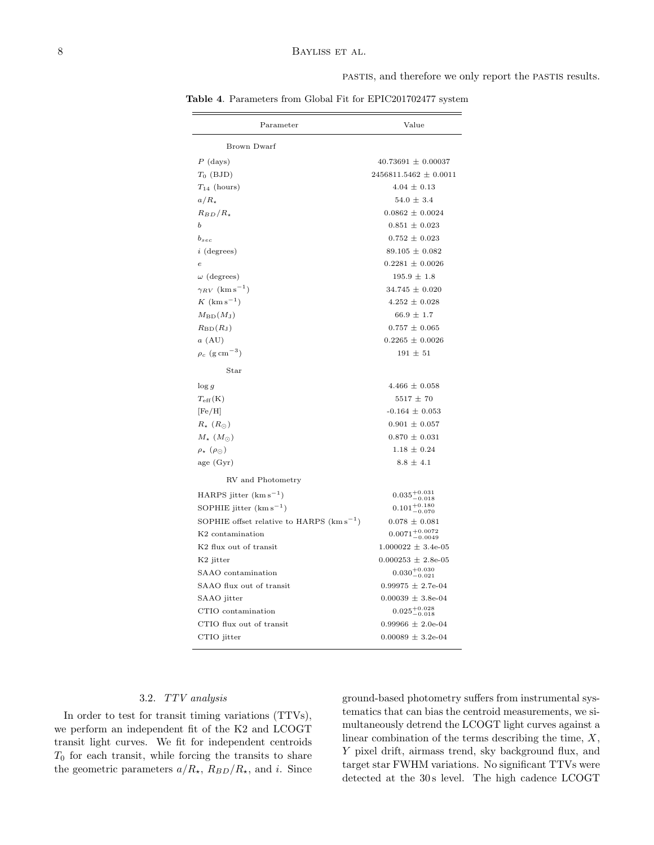pastis, and therefore we only report the pastis results.

<span id="page-7-0"></span>Table 4. Parameters from Global Fit for EPIC201702477 system

| Parameter                                    | Value                           |
|----------------------------------------------|---------------------------------|
| Brown Dwarf                                  |                                 |
| $P$ (days)                                   | $40.73691 \pm 0.00037$          |
| $T_0$ (BJD)                                  | $2456811.5462 \pm 0.0011$       |
| $T_{14}$ (hours)                             | $4.04 \pm 0.13$                 |
| $a/R_{\star}$                                | $54.0 \pm 3.4$                  |
| $R_{BD}/R_{\star}$                           | $0.0862 \pm 0.0024$             |
| b                                            | $0.851 \pm 0.023$               |
| $b_{sec}$                                    | $0.752 \pm 0.023$               |
| $i$ (degrees)                                | $89.105 \pm 0.082$              |
| $\epsilon$                                   | $0.2281 \pm 0.0026$             |
| $\omega$ (degrees)                           | $195.9 \pm 1.8$                 |
| $\gamma_{RV}$ (km s <sup>-1</sup> )          | $34.745 \pm 0.020$              |
| $K~(\rm km\,s^{-1})$                         | $4.252 \pm 0.028$               |
| $M_{\rm BD}(M_{\rm J})$                      | $66.9 \pm 1.7$                  |
| $R_{\rm BD}(R_{\rm J})$                      | $0.757 \pm 0.065$               |
| $a$ (AU)                                     | $0.2265 \pm 0.0026$             |
| $\rho_c$ (g cm <sup>-3</sup> )               | $191 \pm 51$                    |
| Star                                         |                                 |
| $\log g$                                     | 4.466 $\pm$ 0.058               |
| $T_{\rm eff}(\rm K)$                         | $5517 \pm 70$                   |
| [Fe/H]                                       | $-0.164 \pm 0.053$              |
| $R_{\star}$ $(R_{\odot})$                    | $0.901 \pm 0.057$               |
| $M_{\star}$ $(M_{\odot})$                    | $0.870 \, \pm \, 0.031$         |
| $\rho_{\star}$ ( $\rho_{\odot}$ )            | $1.18 \pm 0.24$                 |
| age (Gyr)                                    | $8.8 \pm 4.1$                   |
| RV and Photometry                            |                                 |
| HARPS jitter $(km s^{-1})$                   | $0.035_{-0.018}^{+0.031}$       |
| SOPHIE jitter $(kms^{-1})$                   | $0.101^{+0.180}_{-0.070}$       |
| SOPHIE offset relative to HARPS $(kms^{-1})$ | $0.078 \pm 0.081$               |
| K <sub>2</sub> contamination                 | $0.0071^{+0.0072}_{-0.0049}$    |
| K2 flux out of transit                       | $1.000022 \pm 3.4$ e-05         |
| K2 jitter                                    | $0.000253\,\pm\,2.8\text{e-}05$ |
| SAAO contamination                           | $0.030^{+0.030}_{-0.021}$       |
| SAAO flux out of transit                     | $0.99975 \pm 2.7e-04$           |
| SAAO jitter                                  | $0.00039 \pm 3.8$ e-04          |
| CTIO contamination                           | $0.025_{-0.018}^{+0.028}$       |
| CTIO flux out of transit                     | $0.99966 \pm 2.0e-04$           |
| CTIO jitter                                  | $0.00089 \pm 3.2$ e-04          |
|                                              |                                 |

# 3.2. TTV analysis

In order to test for transit timing variations (TTVs), we perform an independent fit of the K2 and LCOGT transit light curves. We fit for independent centroids  $T_0$  for each transit, while forcing the transits to share the geometric parameters  $a/R_{\star}$ ,  $R_{BD}/R_{\star}$ , and *i*. Since

ground-based photometry suffers from instrumental systematics that can bias the centroid measurements, we simultaneously detrend the LCOGT light curves against a linear combination of the terms describing the time,  $X$ , Y pixel drift, airmass trend, sky background flux, and target star FWHM variations. No significant TTVs were detected at the 30s level. The high cadence LCOGT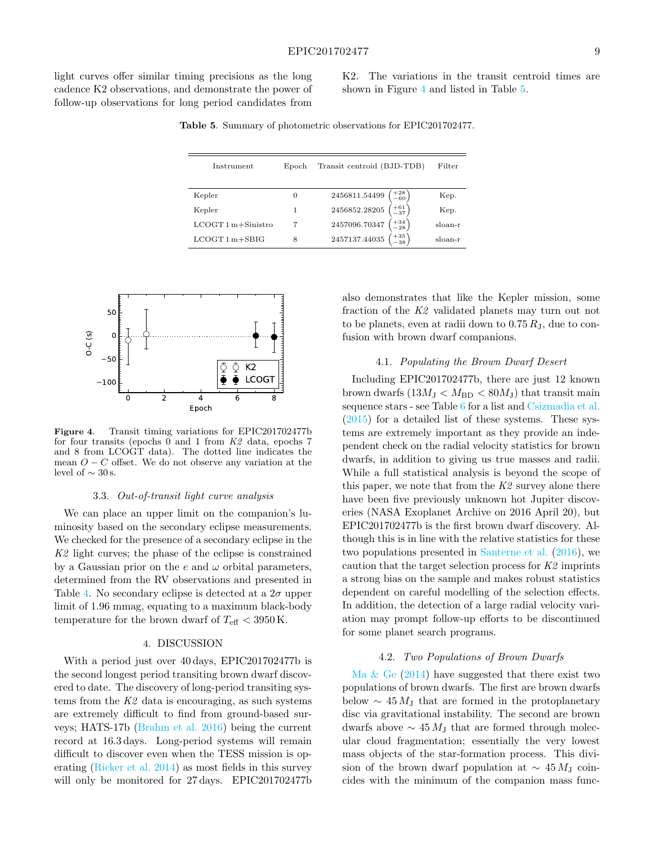<span id="page-8-2"></span>light curves offer similar timing precisions as the long cadence K2 observations, and demonstrate the power of follow-up observations for long period candidates from

K2. The variations in the transit centroid times are shown in Figure [4](#page-8-1) and listed in Table [5.](#page-8-2)

Table 5. Summary of photometric observations for EPIC201702477.

| Instrument           | Epoch | Transit centroid (BJD-TDB)                                                     | Filter  |
|----------------------|-------|--------------------------------------------------------------------------------|---------|
|                      |       |                                                                                |         |
| Kepler               | 0     | $2456811.54499\ \left(\begin{smallmatrix} +28 \\ -60 \end{smallmatrix}\right)$ | Kep.    |
| Kepler               | 1     | 2456852.28205 $\left( \frac{+61}{-37} \right)$                                 | Kep.    |
| $LCOGT1m + Sinistro$ |       | 2457096.70347 $\begin{pmatrix} +34 \\ -28 \end{pmatrix}$                       | sloan-r |
| $LCOGT1m+SBIG$       | 8     | 2457137.44035 $\binom{+35}{-38}$                                               | sloan-r |



<span id="page-8-1"></span>Figure 4. Transit timing variations for EPIC201702477b for four transits (epochs 0 and 1 from  $K2$  data, epochs 7 and 8 from LCOGT data). The dotted line indicates the mean  $O - C$  offset. We do not observe any variation at the level of  $\sim$  30 s.

### 3.3. Out-of-transit light curve analysis

We can place an upper limit on the companion's luminosity based on the secondary eclipse measurements. We checked for the presence of a secondary eclipse in the K2 light curves; the phase of the eclipse is constrained by a Gaussian prior on the e and  $\omega$  orbital parameters, determined from the RV observations and presented in Table [4.](#page-7-0) No secondary eclipse is detected at a  $2\sigma$  upper limit of 1.96 mmag, equating to a maximum black-body temperature for the brown dwarf of  $T_{\text{eff}} < 3950 \text{ K}$ .

#### 4. DISCUSSION

<span id="page-8-0"></span>With a period just over 40 days, EPIC201702477b is the second longest period transiting brown dwarf discovered to date. The discovery of long-period transiting systems from the  $K2$  data is encouraging, as such systems are extremely difficult to find from ground-based surveys; HATS-17b [\(Brahm et al.](#page-12-59) [2016\)](#page-12-59) being the current record at 16.3 days. Long-period systems will remain difficult to discover even when the TESS mission is operating [\(Ricker et al.](#page-12-60) [2014\)](#page-12-60) as most fields in this survey will only be monitored for 27 days. EPIC201702477b

also demonstrates that like the Kepler mission, some fraction of the K2 validated planets may turn out not to be planets, even at radii down to  $0.75 R<sub>J</sub>$ , due to confusion with brown dwarf companions.

## 4.1. Populating the Brown Dwarf Desert

Including EPIC201702477b, there are just 12 known brown dwarfs  $(13M_J < M_{\rm BD} < 80M_J)$  that transit main sequence stars - see Table [6](#page-10-0) for a list and [Csizmadia et al.](#page-12-13) [\(2015\)](#page-12-13) for a detailed list of these systems. These systems are extremely important as they provide an independent check on the radial velocity statistics for brown dwarfs, in addition to giving us true masses and radii. While a full statistical analysis is beyond the scope of this paper, we note that from the  $K2$  survey alone there have been five previously unknown hot Jupiter discoveries (NASA Exoplanet Archive on 2016 April 20), but EPIC201702477b is the first brown dwarf discovery. Although this is in line with the relative statistics for these two populations presented in [Santerne et al.](#page-12-20) [\(2016\)](#page-12-20), we caution that the target selection process for  $K2$  imprints a strong bias on the sample and makes robust statistics dependent on careful modelling of the selection effects. In addition, the detection of a large radial velocity variation may prompt follow-up efforts to be discontinued for some planet search programs.

# 4.2. Two Populations of Brown Dwarfs

Ma  $\&$  Ge [\(2014\)](#page-12-24) have suggested that there exist two populations of brown dwarfs. The first are brown dwarfs below  $\sim 45 M_{\rm J}$  that are formed in the protoplanetary disc via gravitational instability. The second are brown dwarfs above  $\sim$  45  $M_{\rm J}$  that are formed through molecular cloud fragmentation; essentially the very lowest mass objects of the star-formation process. This division of the brown dwarf population at  $\sim 45 M_{\rm J}$  coincides with the minimum of the companion mass func-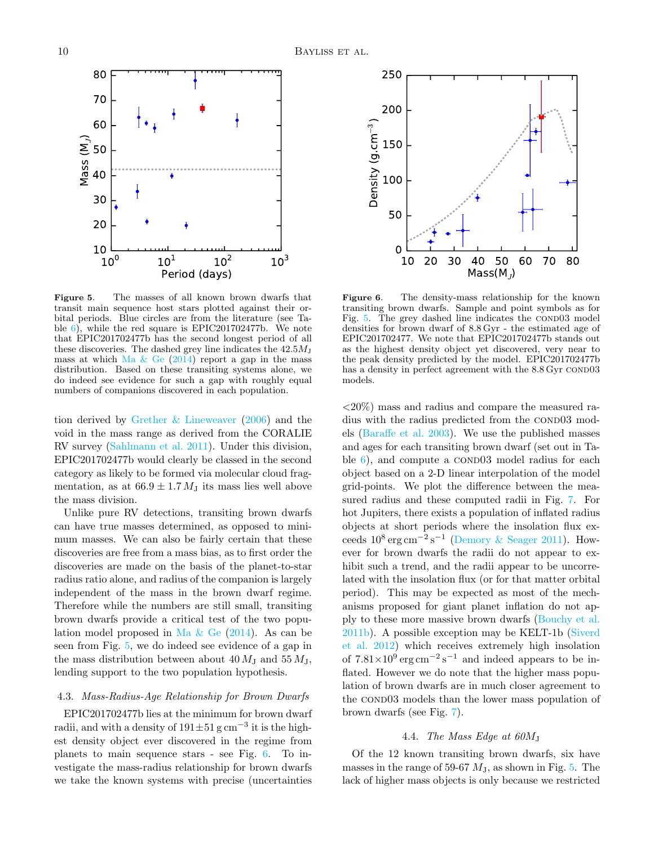<span id="page-9-0"></span>Figure 5. The masses of all known brown dwarfs that transit main sequence host stars plotted against their orbital periods. Blue circles are from the literature (see Table [6\)](#page-10-0), while the red square is EPIC201702477b. We note that EPIC201702477b has the second longest period of all these discoveries. The dashed grey line indicates the  $42.5M_{\rm J}$ mass at which Ma  $\&$  Ge [\(2014\)](#page-12-24) report a gap in the mass distribution. Based on these transiting systems alone, we do indeed see evidence for such a gap with roughly equal numbers of companions discovered in each population.

tion derived by [Grether & Lineweaver](#page-12-61) [\(2006\)](#page-12-61) and the void in the mass range as derived from the CORALIE RV survey [\(Sahlmann et al.](#page-12-2) [2011\)](#page-12-2). Under this division, EPIC201702477b would clearly be classed in the second category as likely to be formed via molecular cloud fragmentation, as at  $66.9 \pm 1.7 M_J$  its mass lies well above the mass division.

Unlike pure RV detections, transiting brown dwarfs can have true masses determined, as opposed to minimum masses. We can also be fairly certain that these discoveries are free from a mass bias, as to first order the discoveries are made on the basis of the planet-to-star radius ratio alone, and radius of the companion is largely independent of the mass in the brown dwarf regime. Therefore while the numbers are still small, transiting brown dwarfs provide a critical test of the two population model proposed in Ma  $\&$  Ge [\(2014\)](#page-12-24). As can be seen from Fig. [5,](#page-9-0) we do indeed see evidence of a gap in the mass distribution between about  $40 M_{\rm J}$  and  $55 M_{\rm J}$ , lending support to the two population hypothesis.

# 4.3. Mass-Radius-Age Relationship for Brown Dwarfs

EPIC201702477b lies at the minimum for brown dwarf radii, and with a density of  $191 \pm 51$  g cm<sup>-3</sup> it is the highest density object ever discovered in the regime from planets to main sequence stars - see Fig. [6.](#page-9-1) To investigate the mass-radius relationship for brown dwarfs we take the known systems with precise (uncertainties

<span id="page-9-1"></span>Figure 6. The density-mass relationship for the known transiting brown dwarfs. Sample and point symbols as for Fig.  $5.$  The grey dashed line indicates the COND03 model densities for brown dwarf of 8.8 Gyr - the estimated age of EPIC201702477. We note that EPIC201702477b stands out as the highest density object yet discovered, very near to the peak density predicted by the model. EPIC201702477b has a density in perfect agreement with the 8.8 Gyr COND03 models.

<20%) mass and radius and compare the measured radius with the radius predicted from the COND03 models [\(Baraffe et al.](#page-12-62) [2003\)](#page-12-62). We use the published masses and ages for each transiting brown dwarf (set out in Table  $6$ ), and compute a COND03 model radius for each object based on a 2-D linear interpolation of the model grid-points. We plot the difference between the measured radius and these computed radii in Fig. [7.](#page-10-1) For hot Jupiters, there exists a population of inflated radius objects at short periods where the insolation flux exceeds  $10^8 \text{ erg cm}^{-2} \text{ s}^{-1}$  [\(Demory & Seager](#page-12-63) [2011\)](#page-12-63). However for brown dwarfs the radii do not appear to exhibit such a trend, and the radii appear to be uncorrelated with the insolation flux (or for that matter orbital period). This may be expected as most of the mechanisms proposed for giant planet inflation do not apply to these more massive brown dwarfs [\(Bouchy et al.](#page-12-12) [2011b\)](#page-12-12). A possible exception may be KELT-1b [\(Siverd](#page-12-9) [et al.](#page-12-9) [2012\)](#page-12-9) which receives extremely high insolation of  $7.81 \times 10^9$  erg cm<sup>-2</sup> s<sup>-1</sup> and indeed appears to be inflated. However we do note that the higher mass population of brown dwarfs are in much closer agreement to the COND03 models than the lower mass population of brown dwarfs (see Fig. [7\)](#page-10-1).

#### 4.4. The Mass Edge at  $60M_J$

Of the 12 known transiting brown dwarfs, six have masses in the range of 59-67  $M_{\rm J}$ , as shown in Fig. [5.](#page-9-0) The lack of higher mass objects is only because we restricted



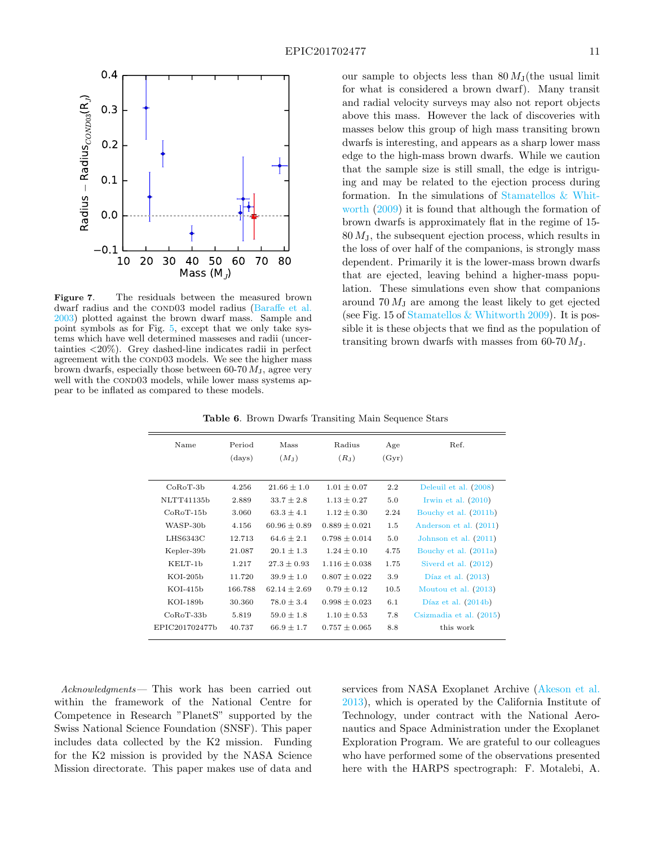

<span id="page-10-1"></span>Figure 7. The residuals between the measured brown dwarf radius and the COND03 model radius [\(Baraffe et al.](#page-12-62) [2003\)](#page-12-62) plotted against the brown dwarf mass. Sample and point symbols as for Fig. [5,](#page-9-0) except that we only take systems which have well determined masseses and radii (uncertainties <20%). Grey dashed-line indicates radii in perfect agreement with the COND03 models. We see the higher mass brown dwarfs, especially those between 60-70  $M_J$ , agree very well with the COND03 models, while lower mass systems appear to be inflated as compared to these models.

our sample to objects less than  $80 M_1$ (the usual limit for what is considered a brown dwarf). Many transit and radial velocity surveys may also not report objects above this mass. However the lack of discoveries with masses below this group of high mass transiting brown dwarfs is interesting, and appears as a sharp lower mass edge to the high-mass brown dwarfs. While we caution that the sample size is still small, the edge is intriguing and may be related to the ejection process during formation. In the simulations of [Stamatellos & Whit](#page-12-64)[worth](#page-12-64) [\(2009\)](#page-12-64) it is found that although the formation of brown dwarfs is approximately flat in the regime of 15-  $80 M_{\rm J}$ , the subsequent ejection process, which results in the loss of over half of the companions, is strongly mass dependent. Primarily it is the lower-mass brown dwarfs that are ejected, leaving behind a higher-mass population. These simulations even show that companions around  $70 M<sub>J</sub>$  are among the least likely to get ejected (see Fig. 15 of [Stamatellos & Whitworth](#page-12-64) [2009\)](#page-12-64). It is possible it is these objects that we find as the population of transiting brown dwarfs with masses from 60-70  $M_{\rm J}$ .

Table 6. Brown Dwarfs Transiting Main Sequence Stars

<span id="page-10-0"></span>

| Name           | Period<br>(days) | Mass<br>$(M_{\rm J})$ | Radius<br>$(R_{\rm J})$ | Age<br>(Gyr) | Ref.                         |
|----------------|------------------|-----------------------|-------------------------|--------------|------------------------------|
| $CoRoT-3b$     | 4.256            | $21.66 \pm 1.0$       | $1.01 \pm 0.07$         | 2.2          | Deleuil et al. (2008)        |
| NLTT41135b     | 2.889            | $33.7 \pm 2.8$        | $1.13 \pm 0.27$         | 5.0          | Irwin et al. $(2010)$        |
| $CoRoT-15b$    | 3.060            | $63.3 \pm 4.1$        | $1.12 \pm 0.30$         | 2.24         | Bouchy et al. (2011b)        |
| WASP-30b       | 4.156            | $60.96 \pm 0.89$      | $0.889 \pm 0.021$       | 1.5          | Anderson et al. (2011)       |
| LHS6343C       | 12.713           | $64.6 \pm 2.1$        | $0.798 \pm 0.014$       | 5.0          | Johnson et al. $(2011)$      |
| Kepler-39b     | 21.087           | $20.1 \pm 1.3$        | $1.24 \pm 0.10$         | 4.75         | Bouchy et al. (2011a)        |
| $KELT-1b$      | 1.217            | $27.3 \pm 0.93$       | $1.116 \pm 0.038$       | 1.75         | Siverd et al. $(2012)$       |
| $KOI-205b$     | 11.720           | $39.9 \pm 1.0$        | $0.807 \pm 0.022$       | 3.9          | Díaz et al. $(2013)$         |
| $KOI-415b$     | 166.788          | $62.14 + 2.69$        | $0.79 \pm 0.12$         | 10.5         | Moutou et al. $(2013)$       |
| KOI-189b       | 30.360           | $78.0 \pm 3.4$        | $0.998 \pm 0.023$       | 6.1          | Díaz et al. $(2014b)$        |
| $CoRoT-33b$    | 5.819            | $59.0 \pm 1.8$        | $1.10 \pm 0.53$         | 7.8          | $C$ sizmadia et al. $(2015)$ |
| EPIC201702477b | 40.737           | $66.9 \pm 1.7$        | $0.757 \pm 0.065$       | 8.8          | this work                    |

Acknowledgments — This work has been carried out within the framework of the National Centre for Competence in Research "PlanetS" supported by the Swiss National Science Foundation (SNSF). This paper includes data collected by the K2 mission. Funding for the K2 mission is provided by the NASA Science Mission directorate. This paper makes use of data and

services from NASA Exoplanet Archive [\(Akeson et al.](#page-12-67) [2013\)](#page-12-67), which is operated by the California Institute of Technology, under contract with the National Aeronautics and Space Administration under the Exoplanet Exploration Program. We are grateful to our colleagues who have performed some of the observations presented here with the HARPS spectrograph: F. Motalebi, A.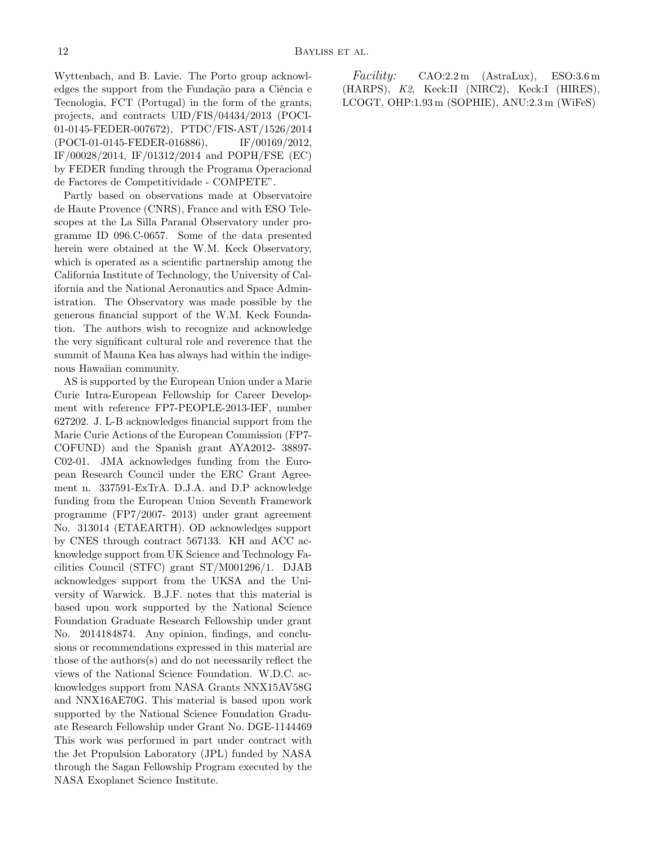Wyttenbach, and B. Lavie. The Porto group acknowledges the support from the Fundação para a Ciência e Tecnologia, FCT (Portugal) in the form of the grants, projects, and contracts UID/FIS/04434/2013 (POCI-01-0145-FEDER-007672), PTDC/FIS-AST/1526/2014 (POCI-01-0145-FEDER-016886), IF/00169/2012, IF/00028/2014, IF/01312/2014 and POPH/FSE (EC) by FEDER funding through the Programa Operacional de Factores de Competitividade - COMPETE".

Partly based on observations made at Observatoire de Haute Provence (CNRS), France and with ESO Telescopes at the La Silla Paranal Observatory under programme ID 096.C-0657. Some of the data presented herein were obtained at the W.M. Keck Observatory, which is operated as a scientific partnership among the California Institute of Technology, the University of California and the National Aeronautics and Space Administration. The Observatory was made possible by the generous financial support of the W.M. Keck Foundation. The authors wish to recognize and acknowledge the very significant cultural role and reverence that the summit of Mauna Kea has always had within the indigenous Hawaiian community.

AS is supported by the European Union under a Marie Curie Intra-European Fellowship for Career Development with reference FP7-PEOPLE-2013-IEF, number 627202. J. L-B acknowledges financial support from the Marie Curie Actions of the European Commission (FP7- COFUND) and the Spanish grant AYA2012- 38897- C02-01. JMA acknowledges funding from the European Research Council under the ERC Grant Agreement n. 337591-ExTrA. D.J.A. and D.P acknowledge funding from the European Union Seventh Framework programme (FP7/2007- 2013) under grant agreement No. 313014 (ETAEARTH). OD acknowledges support by CNES through contract 567133. KH and ACC acknowledge support from UK Science and Technology Facilities Council (STFC) grant ST/M001296/1. DJAB acknowledges support from the UKSA and the University of Warwick. B.J.F. notes that this material is based upon work supported by the National Science Foundation Graduate Research Fellowship under grant No. 2014184874. Any opinion, findings, and conclusions or recommendations expressed in this material are those of the authors(s) and do not necessarily reflect the views of the National Science Foundation. W.D.C. acknowledges support from NASA Grants NNX15AV58G and NNX16AE70G. This material is based upon work supported by the National Science Foundation Graduate Research Fellowship under Grant No. DGE-1144469 This work was performed in part under contract with the Jet Propulsion Laboratory (JPL) funded by NASA through the Sagan Fellowship Program executed by the NASA Exoplanet Science Institute.

 $Facility: \qquad \text{CAO:2.2 m} \quad \text{(AstraLux)}, \quad \text{ESO:3.6 m}$ (HARPS), K2, Keck:II (NIRC2), Keck:I (HIRES), LCOGT, OHP:1.93 m (SOPHIE), ANU:2.3 m (WiFeS)